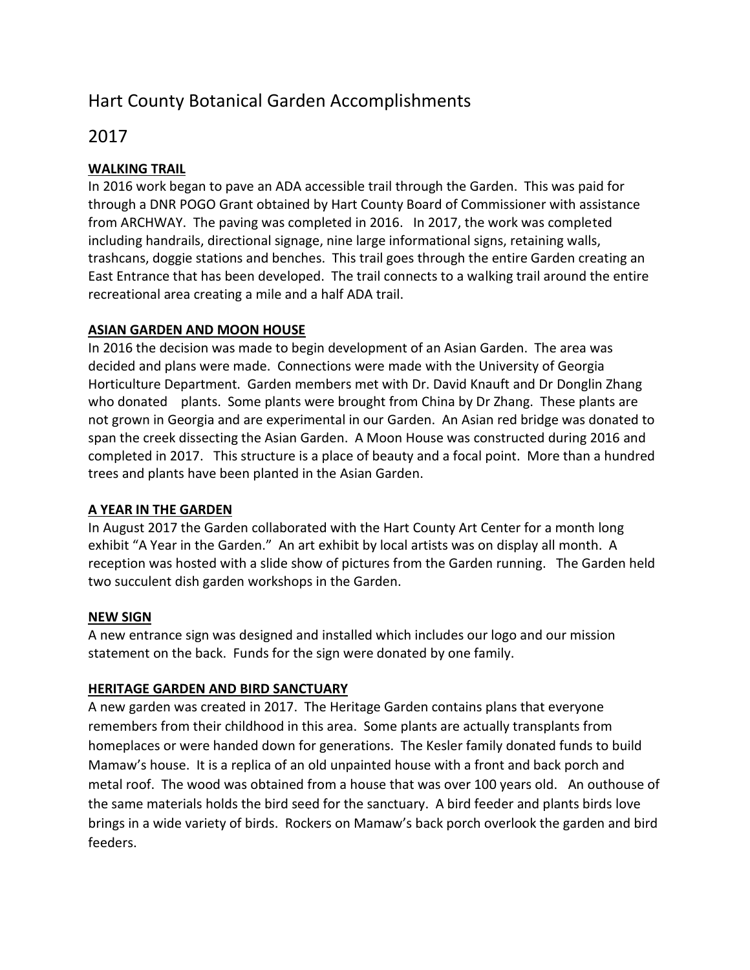# Hart County Botanical Garden Accomplishments

# 2017

# **WALKING TRAIL**

In 2016 work began to pave an ADA accessible trail through the Garden. This was paid for through a DNR POGO Grant obtained by Hart County Board of Commissioner with assistance from ARCHWAY. The paving was completed in 2016. In 2017, the work was completed including handrails, directional signage, nine large informational signs, retaining walls, trashcans, doggie stations and benches. This trail goes through the entire Garden creating an East Entrance that has been developed. The trail connects to a walking trail around the entire recreational area creating a mile and a half ADA trail.

#### **ASIAN GARDEN AND MOON HOUSE**

In 2016 the decision was made to begin development of an Asian Garden. The area was decided and plans were made. Connections were made with the University of Georgia Horticulture Department. Garden members met with Dr. David Knauft and Dr Donglin Zhang who donated plants. Some plants were brought from China by Dr Zhang. These plants are not grown in Georgia and are experimental in our Garden. An Asian red bridge was donated to span the creek dissecting the Asian Garden. A Moon House was constructed during 2016 and completed in 2017. This structure is a place of beauty and a focal point. More than a hundred trees and plants have been planted in the Asian Garden.

# **A YEAR IN THE GARDEN**

In August 2017 the Garden collaborated with the Hart County Art Center for a month long exhibit "A Year in the Garden." An art exhibit by local artists was on display all month. A reception was hosted with a slide show of pictures from the Garden running. The Garden held two succulent dish garden workshops in the Garden.

#### **NEW SIGN**

A new entrance sign was designed and installed which includes our logo and our mission statement on the back. Funds for the sign were donated by one family.

# **HERITAGE GARDEN AND BIRD SANCTUARY**

A new garden was created in 2017. The Heritage Garden contains plans that everyone remembers from their childhood in this area. Some plants are actually transplants from homeplaces or were handed down for generations. The Kesler family donated funds to build Mamaw's house. It is a replica of an old unpainted house with a front and back porch and metal roof. The wood was obtained from a house that was over 100 years old. An outhouse of the same materials holds the bird seed for the sanctuary. A bird feeder and plants birds love brings in a wide variety of birds. Rockers on Mamaw's back porch overlook the garden and bird feeders.